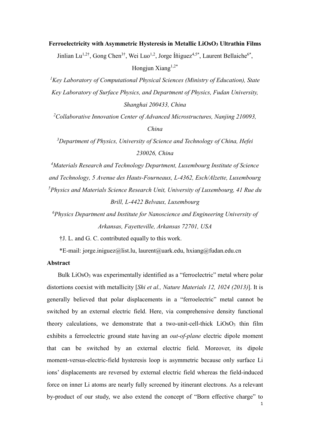# **Ferroelectricity with Asymmetric Hysteresis in Metallic LiOsO3 Ultrathin Films**

Jinlian Lu<sup>1,2†</sup>, Gong Chen<sup>3†</sup>, Wei Luo<sup>1,2</sup>, Jorge Íñiguez<sup>4,5\*</sup>, Laurent Bellaiche<sup>6\*</sup>, Hongjun Xiang $1,2^*$ 

<sup>1</sup> Key Laboratory of Computational Physical Sciences (Ministry of Education), State *Key Laboratory of Surface Physics, and Department of Physics, Fudan University, Shanghai 200433, China*

<sup>2</sup> Collaborative Innovation Center of Advanced Microstructures, Nanjing 210093, *China*

*3 Department of Physics, University of Science and Technology of China, Hefei 230026, China*

*4 Materials Research and Technology Department, Luxembourg Institute of Science and Technology, 5 Avenue des Hauts-Fourneaux, L-4362, Esch/Alzette, Luxembourg 5 Physics and Materials Science Research Unit, University of Luxembourg, 41 Rue du Brill, L-4422 Belvaux, Luxembourg*

*6 Physics Department and Institute for Nanoscience and Engineering University of Arkansas, Fayetteville, Arkansas 72701, USA*

†J. L. and G. C. contributed equally to this work.

\*E-mail: jorge.iniguez@list.lu, laurent@uark.edu, hxiang@fudan.edu.cn

## **Abstract**

Bulk LiOsO<sub>3</sub> was experimentally identified as a "ferroelectric" metal where polar distortions coexist with metallicity [*Shi et al., Nature Materials 12, 1024 (2013)*]. It is generally believed that polar displacements in a "ferroelectric" metal cannot be switched by an external electric field. Here, via comprehensive density functional theory calculations, we demonstrate that a two-unit-cell-thick  $LiOSO<sub>3</sub>$  thin film exhibits a ferroelectric ground state having an *out-of-plane* electric dipole moment that can be switched by an external electric field. Moreover, its dipole moment-versus-electric-field hysteresis loop is asymmetric because only surface Li ions' displacements are reversed by external electric field whereas the field-induced force on inner Li atoms are nearly fully screened by itinerant electrons. As a relevant by-product of our study, we also extend the concept of "Born effective charge" to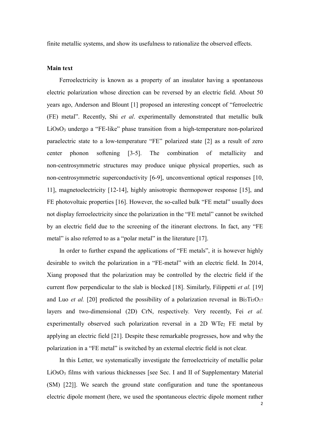finite metallic systems, and show its usefulness to rationalize the observed effects.

#### **Main text**

Ferroelectricity is known as a property of an insulator having a spontaneous electric polarization whose direction can be reversed by an electric field. About 50 years ago, Anderson and Blount [1] proposed an interesting concept of "ferroelectric (FE) metal". Recently, Shi *et al*. experimentally demonstrated that metallic bulk LiOsO3 undergo a "FE-like" phase transition from a high-temperature non-polarized paraelectric state to a low-temperature "FE" polarized state [2] as a result of zero center phonon softening [3-5]. The combination of metallicity and non-centrosymmetric structures may produce unique physical properties, such as non-centrosymmetric superconductivity [6-9], unconventional optical responses [10, 11], magnetoelectricity [12-14], highly anisotropic thermopower response [15], and FE photovoltaic properties [16]. However, the so-called bulk "FE metal" usually does not display ferroelectricity since the polarization in the "FE metal" cannot be switched by an electric field due to the screening of the itinerant electrons. In fact, any "FE metal" is also referred to as a "polar metal" in the literature [17].

In order to further expand the applications of "FE metals", it is however highly desirable to switch the polarization in a "FE-metal" with an electric field. In 2014, Xiang proposed that the polarization may be controlled by the electric field if the current flow perpendicular to the slab is blocked [18]. Similarly, Filippetti *et al.* [19] and Luo *et al.* [20] predicted the possibility of a polarization reversal in  $BisTi<sub>5</sub>O<sub>17</sub>$ layers and two-dimensional (2D) CrN, respectively*.* Very recently, Fei *et al.* experimentally observed such polarization reversal in a 2D WTe<sub>2</sub> FE metal by applying an electric field [21]. Despite these remarkable progresses, how and why the polarization in a "FE metal" is switched by an external electric field is not clear.

In this Letter, we systematically investigate the ferroelectricity of metallic polar LiOsO<sub>3</sub> films with various thicknesses [see Sec. I and II of Supplementary Material (SM) [22]]. We search the ground state configuration and tune the spontaneous electric dipole moment (here, we used the spontaneous electric dipole moment rather

 $\overline{\phantom{a}}$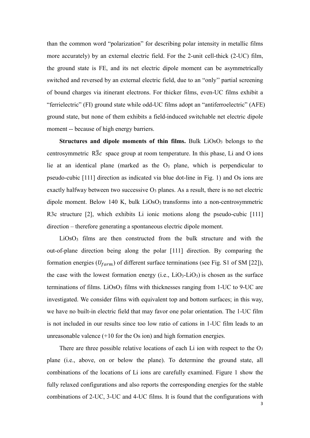than the common word "polarization" for describing polar intensity in metallic films more accurately) by an external electric field. For the 2-unit cell-thick (2-UC) film, the ground state is FE, and its net electric dipole moment can be asymmetrically switched and reversed by an external electric field, due to an "only'' partial screening of bound charges via itinerant electrons. For thicker films, even-UC films exhibit a "ferrielectric" (FI) ground state while odd-UC films adopt an "antiferroelectric" (AFE) ground state, but none of them exhibits a field-induced switchable net electric dipole moment -- because of high energy barriers.

**Structures and dipole moments of thin films.** Bulk LiOsO<sub>3</sub> belongs to the centrosymmetric  $R\overline{3}c$  space group at room temperature. In this phase, Li and O ions lie at an identical plane (marked as the  $O<sub>3</sub>$  plane, which is perpendicular to pseudo-cubic [111] direction as indicated via blue dot-line in Fig. 1) and Os ions are exactly halfway between two successive  $O_3$  planes. As a result, there is no net electric dipole moment. Below 140 K, bulk  $LiOsO<sub>3</sub>$  transforms into a non-centrosymmetric R3c structure [2], which exhibits Li ionic motions along the pseudo-cubic [111] direction – therefore generating a spontaneous electric dipole moment.

LiOsO3 films are then constructed from the bulk structure and with the out-of-plane direction being along the polar [111] direction. By comparing the formation energies ( $U_{form}$ ) of different surface terminations (see Fig. S1 of SM [22]), the case with the lowest formation energy  $(i.e., LiO<sub>3</sub>-LiO<sub>3</sub>)$  is chosen as the surface terminations of films. LiOsO<sub>3</sub> films with thicknesses ranging from  $1$ -UC to  $9$ -UC are investigated. We consider films with equivalent top and bottom surfaces; in this way, we have no built-in electric field that may favor one polar orientation. The 1-UC film is not included in our results since too low ratio of cations in 1-UC film leads to an unreasonable valence (+10 for the Os ion) and high formation energies.

There are three possible relative locations of each Li ion with respect to the  $O<sub>3</sub>$ plane (i.e., above, on or below the plane). To determine the ground state, all combinations of the locations of Li ions are carefully examined. Figure 1 show the fully relaxed configurations and also reports the corresponding energies for the stable combinations of 2-UC, 3-UC and 4-UC films. It is found that the configurations with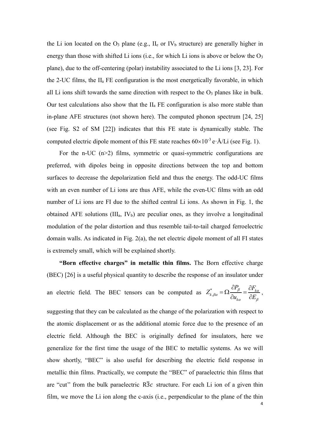the Li ion located on the  $O_3$  plane (e.g.,  $II_e$  or IV<sub>b</sub> structure) are generally higher in energy than those with shifted Li ions (i.e., for which Li ions is above or below the O<sub>3</sub> plane), due to the off-centering (polar) instability associated to the Li ions [3, 23]. For the 2-UC films, the IIa FE configuration is the most energetically favorable, in which all Li ions shift towards the same direction with respect to the  $O_3$  planes like in bulk. Our test calculations also show that the  $II_a$  FE configuration is also more stable than in-plane AFE structures (not shown here). The computed phonon spectrum [24, 25] (see Fig. S2 of SM [22]) indicates that this FE state is dynamically stable. The computed electric dipole moment of this FE state reaches  $60\times10^{-3}$  e·Å/Li (see Fig. 1).

For the n-UC  $(n>2)$  films, symmetric or quasi-symmetric configurations are preferred, with dipoles being in opposite directions between the top and bottom surfaces to decrease the depolarization field and thus the energy. The odd-UC films with an even number of Li ions are thus AFE, while the even-UC films with an odd number of Li ions are FI due to the shifted central Li ions. As shown in Fig. 1, the obtained AFE solutions  $(III_a, IV_b)$  are peculiar ones, as they involve a longitudinal modulation of the polar distortion and thus resemble tail-to-tail charged ferroelectric domain walls. As indicated in Fig. 2(a), the net electric dipole moment of all FI states is extremely small, which will be explained shortly.

**"Born effective charges" in metallic thin films.** The Born effective charge (BEC) [26] is a useful physical quantity to describe the response of an insulator under

an electric field. The BEC tensors can be computed as  $Z_{k,\beta\alpha}^* = \Omega \frac{dP_{\beta}}{dr} = \frac{dP_{\beta}}{dr}$ *k*  $Z^*_{k,\beta\alpha} = \Omega \frac{\partial P_\beta}{\partial \beta} = \frac{\partial F_\beta}{\partial \beta}$  $\partial u_{_{k\alpha}} \quad \ \partial E$  $\beta = \frac{U I'_{k\alpha}}{A}$  $\beta\alpha$  $\alpha$   $\mathcal{L}_{\beta}$  $=\Omega \frac{\partial P_{\beta}}{\partial \overline{\Omega}}=\frac{\partial}{\partial \overline{\Omega}}$  $\frac{\partial}{\partial u_{k\alpha}} = \frac{\partial^2}{\partial E_{\beta}}$ ,

suggesting that they can be calculated as the change of the polarization with respect to the atomic displacement or as the additional atomic force due to the presence of an electric field. Although the BEC is originally defined for insulators, here we generalize for the first time the usage of the BEC to metallic systems. As we will show shortly, "BEC" is also useful for describing the electric field response in metallic thin films. Practically, we compute the "BEC" of paraelectric thin films that are "cut" from the bulk paraelectric  $R\overline{3}c$  structure. For each Li ion of a given thin film, we move the Li ion along the c-axis (i.e., perpendicular to the plane of the thin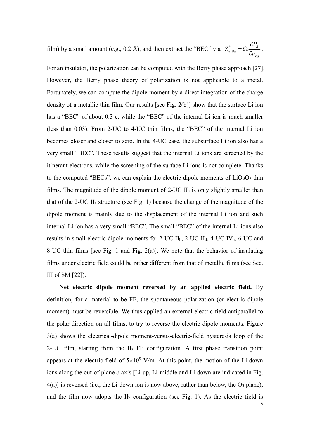film) by a small amount (e.g., 0.2 Å), and then extract the "BEC" via  $Z_{k}^*$ *k P Z u* β  $\frac{1}{\beta a}$   $\frac{1}{\alpha}$   $\frac{1}{\alpha}$  $\hat{c}$  $=\Omega \frac{\partial P}{\partial u_{k\alpha}}$ .

For an insulator, the polarization can be computed with the Berry phase approach [27]. However, the Berry phase theory of polarization is not applicable to a metal. Fortunately, we can compute the dipole moment by a direct integration of the charge density of a metallic thin film. Our results [see Fig. 2(b)] show that the surface Li ion has a "BEC" of about 0.3 e, while the "BEC" of the internal Li ion is much smaller (less than 0.03). From 2-UC to 4-UC thin films, the "BEC" of the internal Li ion becomes closer and closer to zero. In the 4-UC case, the subsurface Li ion also has a very small "BEC". These results suggest that the internal Li ions are screened by the itinerant electrons, while the screening of the surface Li ions is not complete. Thanks to the computed "BECs", we can explain the electric dipole moments of  $LiOSO<sub>3</sub>$  thin films. The magnitude of the dipole moment of  $2$ -UC II<sub>c</sub> is only slightly smaller than that of the 2-UC  $II_a$  structure (see Fig. 1) because the change of the magnitude of the dipole moment is mainly due to the displacement of the internal Li ion and such internal Li ion has a very small "BEC". The small "BEC" of the internal Li ions also results in small electric dipole moments for 2-UC  $II<sub>b</sub>$ , 2-UC  $II<sub>d</sub>$ , 4-UC IV<sub>a</sub>, 6-UC and 8-UC thin films [see Fig. 1 and Fig. 2(a)]. We note that the behavior of insulating films under electric field could be rather different from that of metallic films (see Sec. III of SM [22]).

**Net electric dipole moment reversed by an applied electric field.** By definition, for a material to be FE, the spontaneous polarization (or electric dipole moment) must be reversible. We thus applied an external electric field antiparallel to the polar direction on all films, to try to reverse the electric dipole moments. Figure 3(a) shows the electrical-dipole moment-versus-electric-field hysteresis loop of the 2-UC film, starting from the  $II_a$  FE configuration. A first phase transition point appears at the electric field of  $5\times10^9$  V/m. At this point, the motion of the Li-down ions along the out-of-plane *c*-axis [Li-up, Li-middle and Li-down are indicated in Fig.  $4(a)$ ] is reversed (i.e., the Li-down ion is now above, rather than below, the O<sub>3</sub> plane), and the film now adopts the  $II<sub>b</sub>$  configuration (see Fig. 1). As the electric field is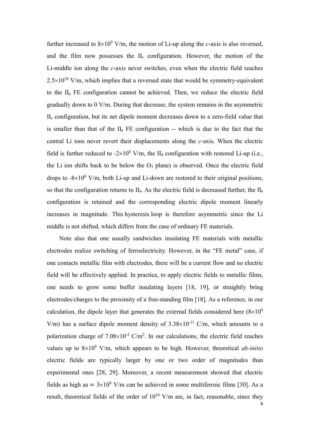further increased to  $8\times10^9$  V/m, the motion of Li-up along the *c*-axis is also reversed, and the film now possesses the IIc configuration. However, the motion of the Li-middle ion along the *c*-axis never switches, even when the electric field reaches  $2.5\times10^{10}$  V/m, which implies that a reversed state that would be symmetry-equivalent to the IIa FE configuration cannot be achieved. Then, we reduce the electric field gradually down to 0 V/m. During that decrease, the system remains in the asymmetric IIc configuration, but its net dipole moment decreases down to a zero-field value that is smaller than that of the IIa FE configuration -- which is due to the fact that the central Li ions never revert their displacements along the *c*-axis. When the electric field is further reduced to  $-2\times10^8$  V/m, the II<sub>d</sub> configuration with restored Li-up (i.e., the Li ion shifts back to be below the  $O_3$  plane) is observed. Once the electric field drops to  $-8\times10^8$  V/m, both Li-up and Li-down are restored to their original positions, so that the configuration returns to IIa. As the electric field is decreased further, the IIa configuration is retained and the corresponding electric dipole moment linearly increases in magnitude. This hysteresis loop is therefore asymmetric since the Li middle is not shifted, which differs from the case of ordinary FE materials.

Note also that one usually sandwiches insulating FE materials with metallic electrodes realize switching of ferroelectricity. However, in the "FE metal" case, if one contacts metallic film with electrodes, there will be a current flow and no electric field will be effectively applied. In practice, to apply electric fields to metallic films, one needs to grow some buffer insulating layers [18, 19], or straightly bring electrodes/charges to the proximity of a free-standing film [18]. As a reference, in our calculation, the dipole layer that generates the external fields considered here  $(8\times10^9)$ V/m) has a surface dipole moment density of  $3.38 \times 10^{-11}$  C/m, which amounts to a polarization charge of  $7.08\times10^{-2}$  C/m<sup>2</sup>. In our calculations, the electric field reaches values up to  $8\times10^9$  V/m, which appears to be high. However, theoretical *ab-initio* electric fields are typically larger by one or two order of magnitudes than experimental ones [28, 29]. Moreover, a recent measurement showed that electric fields as high as  $\simeq 3\times10^8$  V/m can be achieved in some multiferroic films [30]. As a result, theoretical fields of the order of  $10^{10}$  V/m are, in fact, reasonable, since they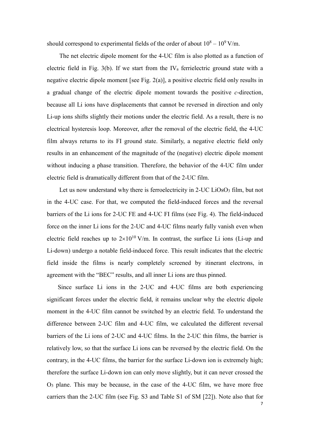should correspond to experimental fields of the order of about  $10^8 - 10^9$  V/m.

The net electric dipole moment for the 4-UC film is also plotted as a function of electric field in Fig. 3(b). If we start from the  $IV_a$  ferrielectric ground state with a negative electric dipole moment [see Fig. 2(a)], a positive electric field only results in a gradual change of the electric dipole moment towards the positive *c*-direction, because all Li ions have displacements that cannot be reversed in direction and only Li-up ions shifts slightly their motions under the electric field. As a result, there is no electrical hysteresis loop. Moreover, after the removal of the electric field, the 4-UC film always returns to its FI ground state. Similarly, a negative electric field only results in an enhancement of the magnitude of the (negative) electric dipole moment without inducing a phase transition. Therefore, the behavior of the 4-UC film under electric field is dramatically different from that of the 2-UC film.

Let us now understand why there is ferroelectricity in 2-UC LiOsO3 film, but not in the 4-UC case. For that, we computed the field-induced forces and the reversal barriers of the Li ions for 2-UC FE and 4-UC FI films (see Fig. 4). The field-induced force on the inner Li ions for the 2-UC and 4-UC films nearly fully vanish even when electric field reaches up to  $2\times10^{10}$  V/m. In contrast, the surface Li ions (Li-up and Li-down) undergo a notable field-induced force. This result indicates that the electric field inside the films is nearly completely screened by itinerant electrons, in agreement with the "BEC" results, and all inner Li ions are thus pinned.

Since surface Li ions in the 2-UC and 4-UC films are both experiencing significant forces under the electric field, it remains unclear why the electric dipole moment in the 4-UC film cannot be switched by an electric field. To understand the difference between 2-UC film and 4-UC film, we calculated the different reversal barriers of the Li ions of 2-UC and 4-UC films. In the 2-UC thin films, the barrier is relatively low, so that the surface Li ions can be reversed by the electric field. On the contrary, in the 4-UC films, the barrier for the surface Li-down ion is extremely high; therefore the surface Li-down ion can only move slightly, but it can never crossed the O3 plane. This may be because, in the case of the 4-UC film, we have more free carriers than the 2-UC film (see Fig. S3 and Table S1 of SM [22]). Note also that for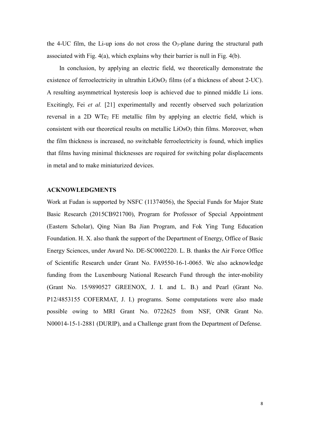the 4-UC film, the Li-up ions do not cross the  $O_3$ -plane during the structural path associated with Fig. 4(a), which explains why their barrier is null in Fig. 4(b).

In conclusion, by applying an electric field, we theoretically demonstrate the existence of ferroelectricity in ultrathin LiOsO<sub>3</sub> films (of a thickness of about 2-UC). A resulting asymmetrical hysteresis loop is achieved due to pinned middle Li ions. Excitingly, Fei *et al.* [21] experimentally and recently observed such polarization reversal in a 2D WTe<sub>2</sub> FE metallic film by applying an electric field, which is consistent with our theoretical results on metallic LiOsO<sub>3</sub> thin films. Moreover, when the film thickness is increased, no switchable ferroelectricity is found, which implies that films having minimal thicknesses are required for switching polar displacements in metal and to make miniaturized devices.

## **ACKNOWLEDGMENTS**

Work at Fudan is supported by NSFC (11374056), the Special Funds for Major State Basic Research (2015CB921700), Program for Professor of Special Appointment (Eastern Scholar), Qing Nian Ba Jian Program, and Fok Ying Tung Education Foundation. H. X. also thank the support of the Department of Energy, Office of Basic Energy Sciences, under Award No. DE-SC0002220. L. B. thanks the Air Force Office of Scientific Research under Grant No. FA9550-16-1-0065. We also acknowledge funding from the Luxembourg National Research Fund through the inter-mobility (Grant No. 15/9890527 GREENOX, J. I. and L. B.) and Pearl (Grant No. P12/4853155 COFERMAT, J. I.) programs. Some computations were also made possible owing to MRI Grant No. 0722625 from NSF, ONR Grant No. N00014-15-1-2881 (DURIP), and a Challenge grant from the Department of Defense.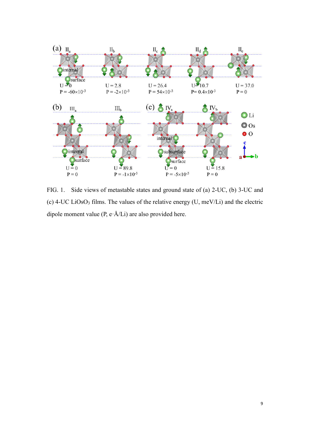

FIG. 1. Side views of metastable states and ground state of (a) 2-UC, (b) 3-UC and (c)  $4$ -UC LiOsO<sub>3</sub> films. The values of the relative energy (U, meV/Li) and the electric dipole moment value (P, e·Å/Li) are also provided here.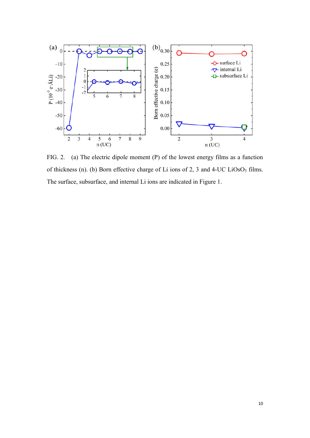

FIG. 2. (a) The electric dipole moment (P) of the lowest energy films as a function of thickness (n). (b) Born effective charge of Li ions of 2, 3 and 4-UC LiOsO3 films. The surface, subsurface, and internal Li ions are indicated in Figure 1.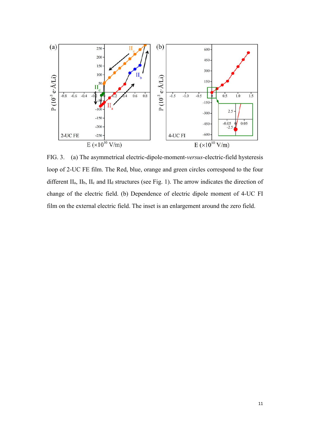

FIG. 3. (a) The asymmetrical electric-dipole-moment-*versus*-electric-field hysteresis loop of 2-UC FE film. The Red, blue, orange and green circles correspond to the four different  $II_a$ ,  $II_b$ ,  $II_c$  and  $II_d$  structures (see Fig. 1). The arrow indicates the direction of change of the electric field. (b) Dependence of electric dipole moment of 4-UC FI film on the external electric field. The inset is an enlargement around the zero field.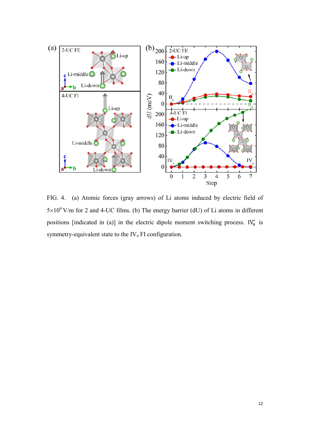

FIG. 4. (a) Atomic forces (gray arrows) of Li atoms induced by electric field of  $5\times10^{9}$  V/m for 2 and 4-UC films. (b) The energy barrier (dU) of Li atoms in different positions [indicated in (a)] in the electric dipole moment switching process. IV<sub>a</sub> is symmetry-equivalent state to the IVa FI configuration.